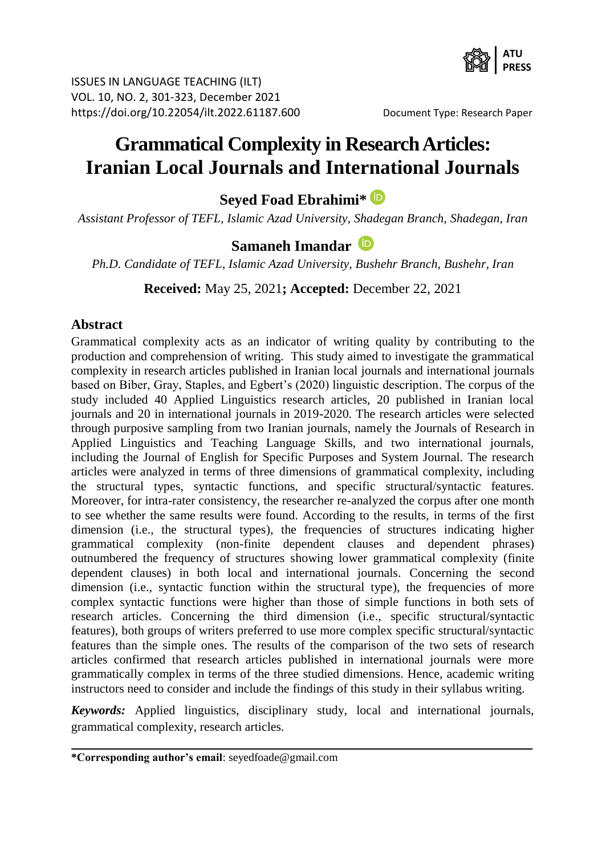

ISSUES IN LANGUAGE TEACHING (ILT) VOL. 10, NO. 2, 301-323, December 2021 https://doi.org/10.22054/ilt.2022.61187.600 Document Type: Research Paper

# **Grammatical Complexity in Research Articles: Iranian Local Journals and International Journals**

**Seyed Foad Ebrahimi\***

*Assistant Professor of TEFL, Islamic Azad University, Shadegan Branch, Shadegan, Iran*

# **Samaneh Imandar**

*Ph.D. Candidate of TEFL, Islamic Azad University, Bushehr Branch, Bushehr, Iran*

**Received:** May 25, 2021**; Accepted:** December 22, 2021

#### **Abstract**

Grammatical complexity acts as an indicator of writing quality by contributing to the production and comprehension of writing. This study aimed to investigate the grammatical complexity in research articles published in Iranian local journals and international journals based on Biber, Gray, Staples, and Egbert's (2020) linguistic description. The corpus of the study included 40 Applied Linguistics research articles, 20 published in Iranian local journals and 20 in international journals in 2019-2020. The research articles were selected through purposive sampling from two Iranian journals, namely the Journals of Research in Applied Linguistics and Teaching Language Skills, and two international journals, including the Journal of English for Specific Purposes and System Journal. The research articles were analyzed in terms of three dimensions of grammatical complexity, including the structural types, syntactic functions, and specific structural/syntactic features. Moreover, for intra-rater consistency, the researcher re-analyzed the corpus after one month to see whether the same results were found. According to the results, in terms of the first dimension (i.e., the structural types), the frequencies of structures indicating higher grammatical complexity (non-finite dependent clauses and dependent phrases) outnumbered the frequency of structures showing lower grammatical complexity (finite dependent clauses) in both local and international journals. Concerning the second dimension (i.e., syntactic function within the structural type), the frequencies of more complex syntactic functions were higher than those of simple functions in both sets of research articles. Concerning the third dimension (i.e., specific structural/syntactic features), both groups of writers preferred to use more complex specific structural/syntactic features than the simple ones. The results of the comparison of the two sets of research articles confirmed that research articles published in international journals were more grammatically complex in terms of the three studied dimensions. Hence, academic writing instructors need to consider and include the findings of this study in their syllabus writing.

*Keywords:* Applied linguistics, disciplinary study, local and international journals, grammatical complexity, research articles.

**<sup>\*</sup>Corresponding author's email**: seyedfoade@gmail.com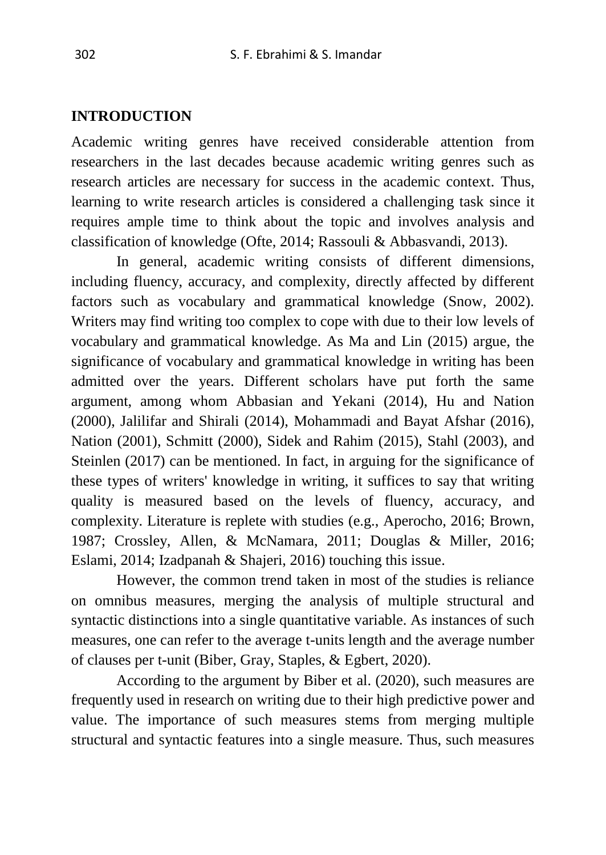#### **INTRODUCTION**

Academic writing genres have received considerable attention from researchers in the last decades because academic writing genres such as research articles are necessary for success in the academic context. Thus, learning to write research articles is considered a challenging task since it requires ample time to think about the topic and involves analysis and classification of knowledge (Ofte, 2014; Rassouli & Abbasvandi, 2013).

In general, academic writing consists of different dimensions, including fluency, accuracy, and complexity, directly affected by different factors such as vocabulary and grammatical knowledge (Snow, 2002). Writers may find writing too complex to cope with due to their low levels of vocabulary and grammatical knowledge. As Ma and Lin (2015) argue, the significance of vocabulary and grammatical knowledge in writing has been admitted over the years. Different scholars have put forth the same argument, among whom Abbasian and Yekani (2014), Hu and Nation (2000), Jalilifar and Shirali (2014), Mohammadi and Bayat Afshar (2016), Nation (2001), Schmitt (2000), Sidek and Rahim (2015), Stahl (2003), and Steinlen (2017) can be mentioned. In fact, in arguing for the significance of these types of writers' knowledge in writing, it suffices to say that writing quality is measured based on the levels of fluency, accuracy, and complexity. Literature is replete with studies (e.g., Aperocho, 2016; Brown, 1987; Crossley, Allen, & McNamara, 2011; Douglas & Miller, 2016; Eslami, 2014; Izadpanah & Shajeri, 2016) touching this issue.

However, the common trend taken in most of the studies is reliance on omnibus measures, merging the analysis of multiple structural and syntactic distinctions into a single quantitative variable. As instances of such measures, one can refer to the average t-units length and the average number of clauses per t-unit (Biber, Gray, Staples, & Egbert, 2020).

According to the argument by Biber et al. (2020), such measures are frequently used in research on writing due to their high predictive power and value. The importance of such measures stems from merging multiple structural and syntactic features into a single measure. Thus, such measures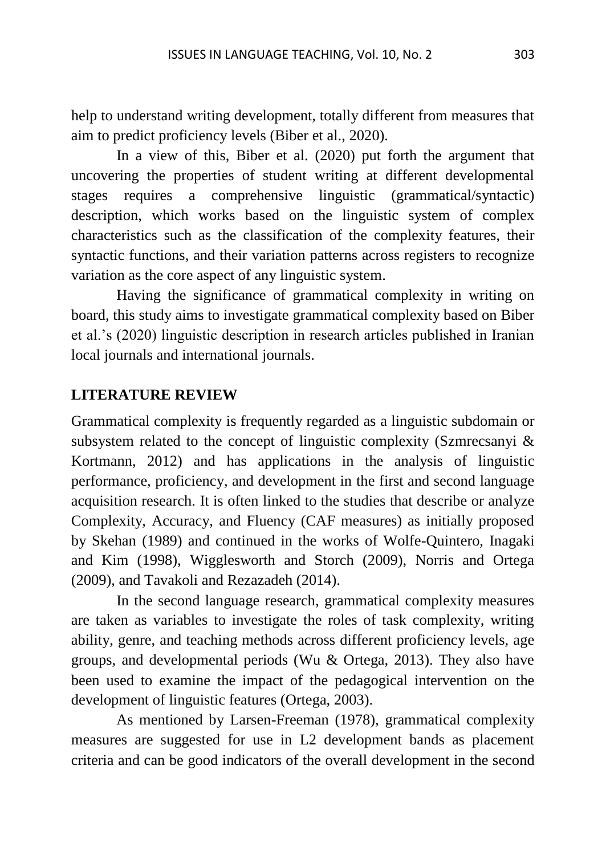help to understand writing development, totally different from measures that aim to predict proficiency levels (Biber et al., 2020).

In a view of this, Biber et al. (2020) put forth the argument that uncovering the properties of student writing at different developmental stages requires a comprehensive linguistic (grammatical/syntactic) description, which works based on the linguistic system of complex characteristics such as the classification of the complexity features, their syntactic functions, and their variation patterns across registers to recognize variation as the core aspect of any linguistic system.

Having the significance of grammatical complexity in writing on board, this study aims to investigate grammatical complexity based on Biber et al.'s (2020) linguistic description in research articles published in Iranian local journals and international journals.

#### **LITERATURE REVIEW**

Grammatical complexity is frequently regarded as a linguistic subdomain or subsystem related to the concept of linguistic complexity (Szmrecsanyi & Kortmann, 2012) and has applications in the analysis of linguistic performance, proficiency, and development in the first and second language acquisition research. It is often linked to the studies that describe or analyze Complexity, Accuracy, and Fluency (CAF measures) as initially proposed by Skehan (1989) and continued in the works of Wolfe-Quintero, Inagaki and Kim (1998), Wigglesworth and Storch (2009), Norris and Ortega (2009), and Tavakoli and Rezazadeh (2014).

In the second language research, grammatical complexity measures are taken as variables to investigate the roles of task complexity, writing ability, genre, and teaching methods across different proficiency levels, age groups, and developmental periods (Wu & Ortega, 2013). They also have been used to examine the impact of the pedagogical intervention on the development of linguistic features (Ortega, 2003).

As mentioned by Larsen-Freeman (1978), grammatical complexity measures are suggested for use in L2 development bands as placement criteria and can be good indicators of the overall development in the second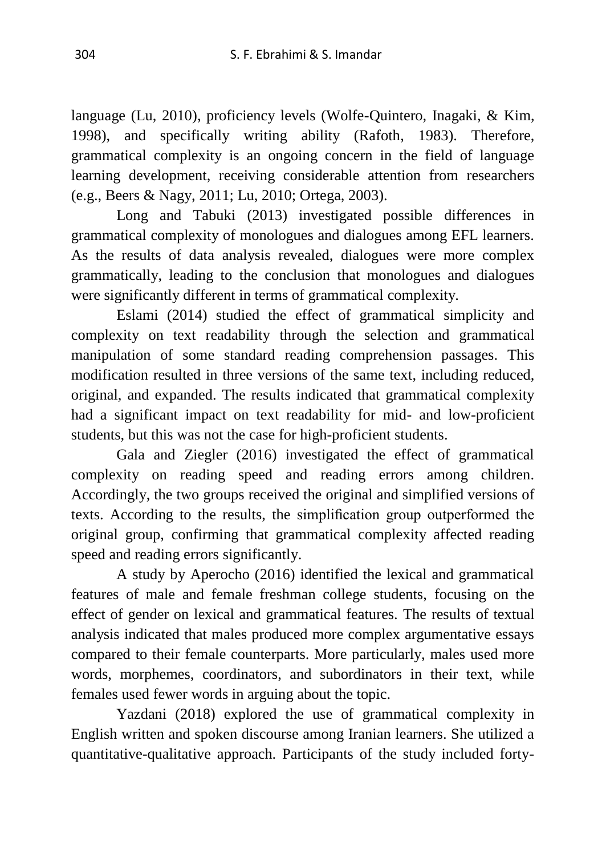language (Lu, 2010), proficiency levels (Wolfe-Quintero, Inagaki, & Kim, 1998), and specifically writing ability (Rafoth, 1983). Therefore, grammatical complexity is an ongoing concern in the field of language learning development, receiving considerable attention from researchers (e.g., Beers & Nagy, 2011; Lu, 2010; Ortega, 2003).

Long and Tabuki (2013) investigated possible differences in grammatical complexity of monologues and dialogues among EFL learners. As the results of data analysis revealed, dialogues were more complex grammatically, leading to the conclusion that monologues and dialogues were significantly different in terms of grammatical complexity.

Eslami (2014) studied the effect of grammatical simplicity and complexity on text readability through the selection and grammatical manipulation of some standard reading comprehension passages. This modification resulted in three versions of the same text, including reduced, original, and expanded. The results indicated that grammatical complexity had a significant impact on text readability for mid- and low-proficient students, but this was not the case for high-proficient students.

Gala and Ziegler (2016) investigated the effect of grammatical complexity on reading speed and reading errors among children. Accordingly, the two groups received the original and simplified versions of texts. According to the results, the simplification group outperformed the original group, confirming that grammatical complexity affected reading speed and reading errors significantly.

A study by Aperocho (2016) identified the lexical and grammatical features of male and female freshman college students, focusing on the effect of gender on lexical and grammatical features. The results of textual analysis indicated that males produced more complex argumentative essays compared to their female counterparts. More particularly, males used more words, morphemes, coordinators, and subordinators in their text, while females used fewer words in arguing about the topic.

Yazdani (2018) explored the use of grammatical complexity in English written and spoken discourse among Iranian learners. She utilized a quantitative-qualitative approach. Participants of the study included forty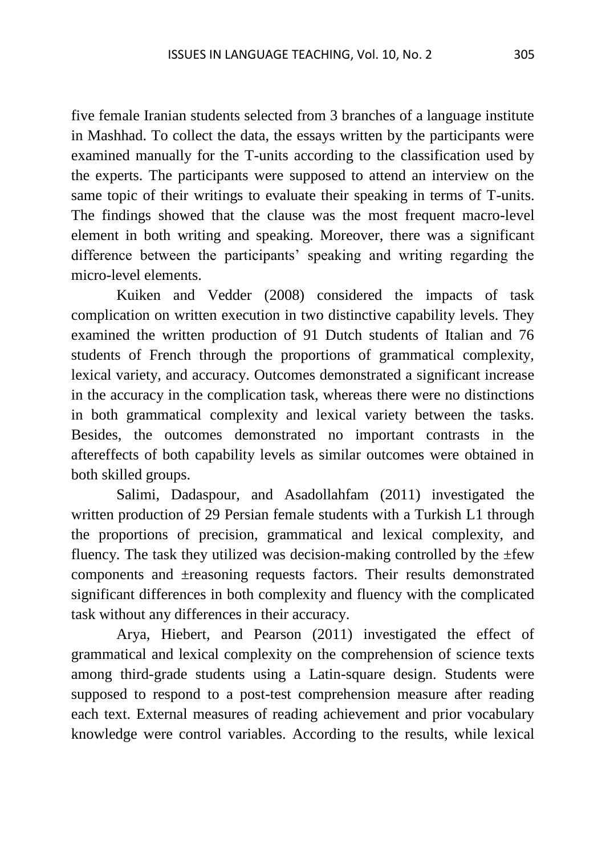five female Iranian students selected from 3 branches of a language institute in Mashhad. To collect the data, the essays written by the participants were examined manually for the T-units according to the classification used by the experts. The participants were supposed to attend an interview on the same topic of their writings to evaluate their speaking in terms of T-units. The findings showed that the clause was the most frequent macro-level element in both writing and speaking. Moreover, there was a significant difference between the participants' speaking and writing regarding the micro-level elements.

Kuiken and Vedder (2008) considered the impacts of task complication on written execution in two distinctive capability levels. They examined the written production of 91 Dutch students of Italian and 76 students of French through the proportions of grammatical complexity, lexical variety, and accuracy. Outcomes demonstrated a significant increase in the accuracy in the complication task, whereas there were no distinctions in both grammatical complexity and lexical variety between the tasks. Besides, the outcomes demonstrated no important contrasts in the aftereffects of both capability levels as similar outcomes were obtained in both skilled groups.

Salimi, Dadaspour, and Asadollahfam (2011) investigated the written production of 29 Persian female students with a Turkish L1 through the proportions of precision, grammatical and lexical complexity, and fluency. The task they utilized was decision-making controlled by the  $\pm$ few components and ±reasoning requests factors. Their results demonstrated significant differences in both complexity and fluency with the complicated task without any differences in their accuracy.

Arya, Hiebert, and Pearson (2011) investigated the effect of grammatical and lexical complexity on the comprehension of science texts among third-grade students using a Latin-square design. Students were supposed to respond to a post-test comprehension measure after reading each text. External measures of reading achievement and prior vocabulary knowledge were control variables. According to the results, while lexical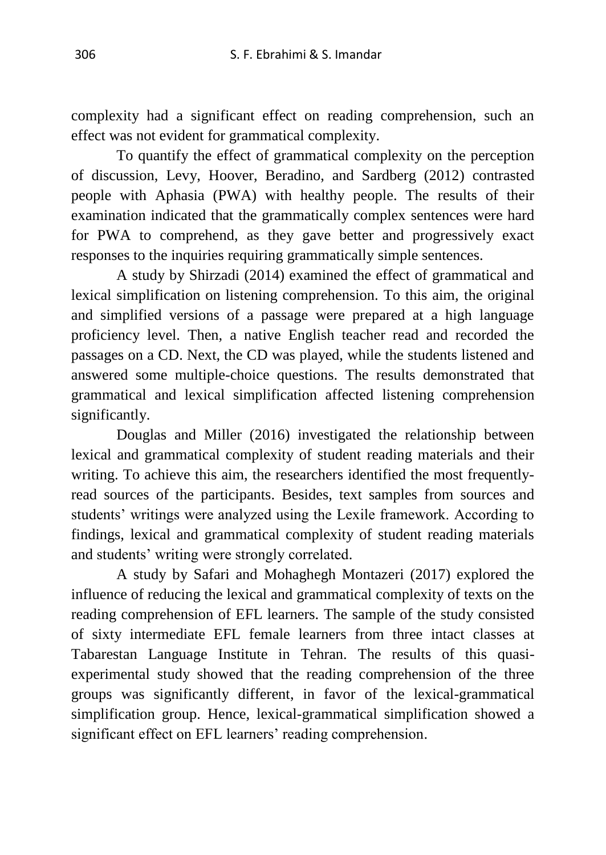complexity had a significant effect on reading comprehension, such an effect was not evident for grammatical complexity.

To quantify the effect of grammatical complexity on the perception of discussion, Levy, Hoover, Beradino, and Sardberg (2012) contrasted people with Aphasia (PWA) with healthy people. The results of their examination indicated that the grammatically complex sentences were hard for PWA to comprehend, as they gave better and progressively exact responses to the inquiries requiring grammatically simple sentences.

A study by Shirzadi (2014) examined the effect of grammatical and lexical simplification on listening comprehension. To this aim, the original and simplified versions of a passage were prepared at a high language proficiency level. Then, a native English teacher read and recorded the passages on a CD. Next, the CD was played, while the students listened and answered some multiple-choice questions. The results demonstrated that grammatical and lexical simplification affected listening comprehension significantly.

Douglas and Miller (2016) investigated the relationship between lexical and grammatical complexity of student reading materials and their writing. To achieve this aim, the researchers identified the most frequentlyread sources of the participants. Besides, text samples from sources and students' writings were analyzed using the Lexile framework. According to findings, lexical and grammatical complexity of student reading materials and students' writing were strongly correlated.

A study by Safari and Mohaghegh Montazeri (2017) explored the influence of reducing the lexical and grammatical complexity of texts on the reading comprehension of EFL learners. The sample of the study consisted of sixty intermediate EFL female learners from three intact classes at Tabarestan Language Institute in Tehran. The results of this quasiexperimental study showed that the reading comprehension of the three groups was significantly different, in favor of the lexical-grammatical simplification group. Hence, lexical-grammatical simplification showed a significant effect on EFL learners' reading comprehension.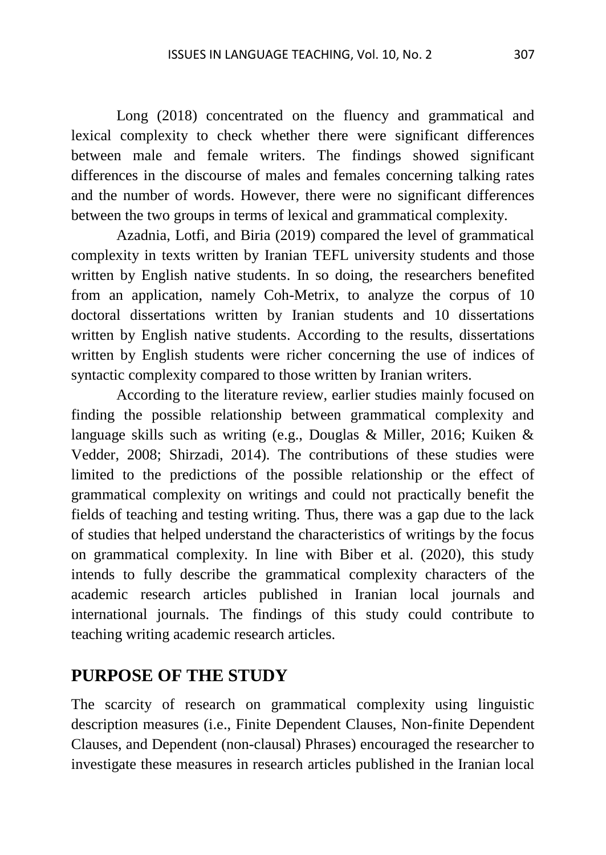Long (2018) concentrated on the fluency and grammatical and lexical complexity to check whether there were significant differences between male and female writers. The findings showed significant differences in the discourse of males and females concerning talking rates and the number of words. However, there were no significant differences between the two groups in terms of lexical and grammatical complexity.

Azadnia, Lotfi, and Biria (2019) compared the level of grammatical complexity in texts written by Iranian TEFL university students and those written by English native students. In so doing, the researchers benefited from an application, namely Coh-Metrix, to analyze the corpus of 10 doctoral dissertations written by Iranian students and 10 dissertations written by English native students. According to the results, dissertations written by English students were richer concerning the use of indices of syntactic complexity compared to those written by Iranian writers.

According to the literature review, earlier studies mainly focused on finding the possible relationship between grammatical complexity and language skills such as writing (e.g., Douglas & Miller, 2016; Kuiken & Vedder, 2008; Shirzadi, 2014). The contributions of these studies were limited to the predictions of the possible relationship or the effect of grammatical complexity on writings and could not practically benefit the fields of teaching and testing writing. Thus, there was a gap due to the lack of studies that helped understand the characteristics of writings by the focus on grammatical complexity. In line with Biber et al. (2020), this study intends to fully describe the grammatical complexity characters of the academic research articles published in Iranian local journals and international journals. The findings of this study could contribute to teaching writing academic research articles.

## **PURPOSE OF THE STUDY**

The scarcity of research on grammatical complexity using linguistic description measures (i.e., Finite Dependent Clauses, Non-finite Dependent Clauses, and Dependent (non-clausal) Phrases) encouraged the researcher to investigate these measures in research articles published in the Iranian local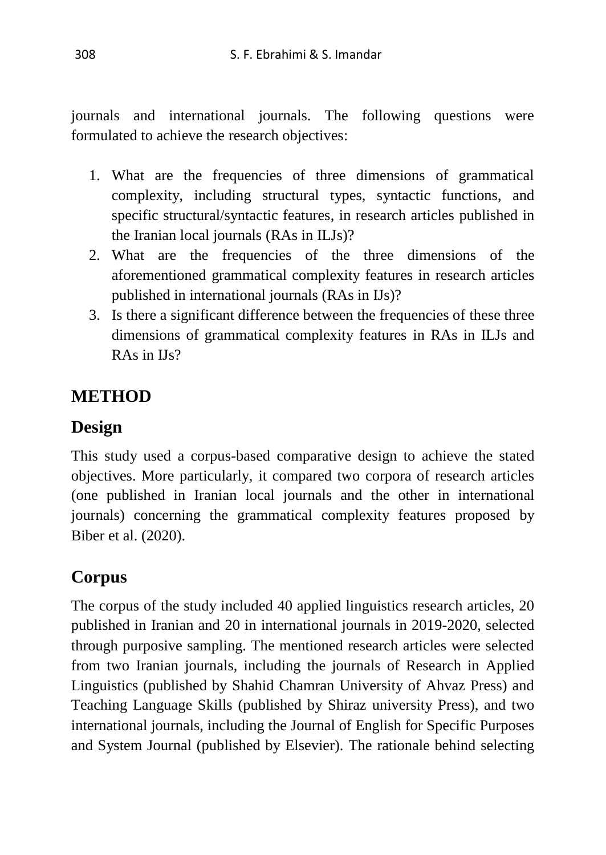journals and international journals. The following questions were formulated to achieve the research objectives:

- 1. What are the frequencies of three dimensions of grammatical complexity, including structural types, syntactic functions, and specific structural/syntactic features, in research articles published in the Iranian local journals (RAs in ILJs)?
- 2. What are the frequencies of the three dimensions of the aforementioned grammatical complexity features in research articles published in international journals (RAs in IJs)?
- 3. Is there a significant difference between the frequencies of these three dimensions of grammatical complexity features in RAs in ILJs and RAs in IJs?

# **METHOD**

# **Design**

This study used a corpus-based comparative design to achieve the stated objectives. More particularly, it compared two corpora of research articles (one published in Iranian local journals and the other in international journals) concerning the grammatical complexity features proposed by Biber et al. (2020).

# **Corpus**

The corpus of the study included 40 applied linguistics research articles, 20 published in Iranian and 20 in international journals in 2019-2020, selected through purposive sampling. The mentioned research articles were selected from two Iranian journals, including the journals of Research in Applied Linguistics (published by Shahid Chamran University of Ahvaz Press) and Teaching Language Skills (published by Shiraz university Press), and two international journals, including the Journal of English for Specific Purposes and System Journal (published by Elsevier). The rationale behind selecting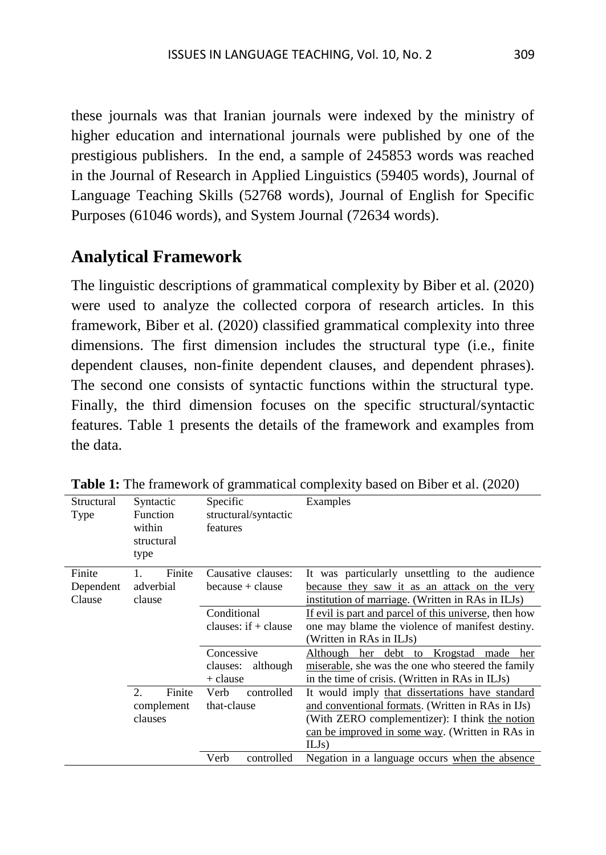these journals was that Iranian journals were indexed by the ministry of higher education and international journals were published by one of the prestigious publishers. In the end, a sample of 245853 words was reached in the Journal of Research in Applied Linguistics (59405 words), Journal of Language Teaching Skills (52768 words), Journal of English for Specific Purposes (61046 words), and System Journal (72634 words).

### **Analytical Framework**

The linguistic descriptions of grammatical complexity by Biber et al. (2020) were used to analyze the collected corpora of research articles. In this framework, Biber et al. (2020) classified grammatical complexity into three dimensions. The first dimension includes the structural type (i.e., finite dependent clauses, non-finite dependent clauses, and dependent phrases). The second one consists of syntactic functions within the structural type. Finally, the third dimension focuses on the specific structural/syntactic features. Table 1 presents the details of the framework and examples from the data.

| Structural<br>Type            | Specific<br>Syntactic<br>Function<br>structural/syntactic<br>within<br>features<br>structural<br>type |                                                | Examples                                                                                                                                                                                                           |  |
|-------------------------------|-------------------------------------------------------------------------------------------------------|------------------------------------------------|--------------------------------------------------------------------------------------------------------------------------------------------------------------------------------------------------------------------|--|
| Finite<br>Dependent<br>Clause | Finite<br>adverbial<br>clause                                                                         | Causative clauses:<br>because + clause         | It was particularly unsettling to the audience<br>because they saw it as an attack on the very<br>institution of marriage. (Written in RAs in ILJs)                                                                |  |
|                               |                                                                                                       | Conditional<br>clauses: $if + clause$          | If evil is part and parcel of this universe, then how<br>one may blame the violence of manifest destiny.<br>(Written in RAs in ILJs)                                                                               |  |
|                               |                                                                                                       | Concessive<br>although<br>clauses:<br>+ clause | debt<br>Although her<br>Krogstad<br>to<br>made<br>her<br>miserable, she was the one who steered the family<br>in the time of crisis. (Written in RAs in ILJs)                                                      |  |
|                               | $\mathfrak{D}$<br>Finite<br>complement<br>clauses                                                     | controlled<br>Verb<br>that-clause              | It would imply that dissertations have standard<br>and conventional formats. (Written in RAs in IJs)<br>(With ZERO complementizer): I think the notion<br>can be improved in some way. (Written in RAs in<br>ILJs) |  |
|                               |                                                                                                       | controlled<br>Verb                             | Negation in a language occurs when the absence                                                                                                                                                                     |  |

Table 1: The framework of grammatical complexity based on Biber et al. (2020)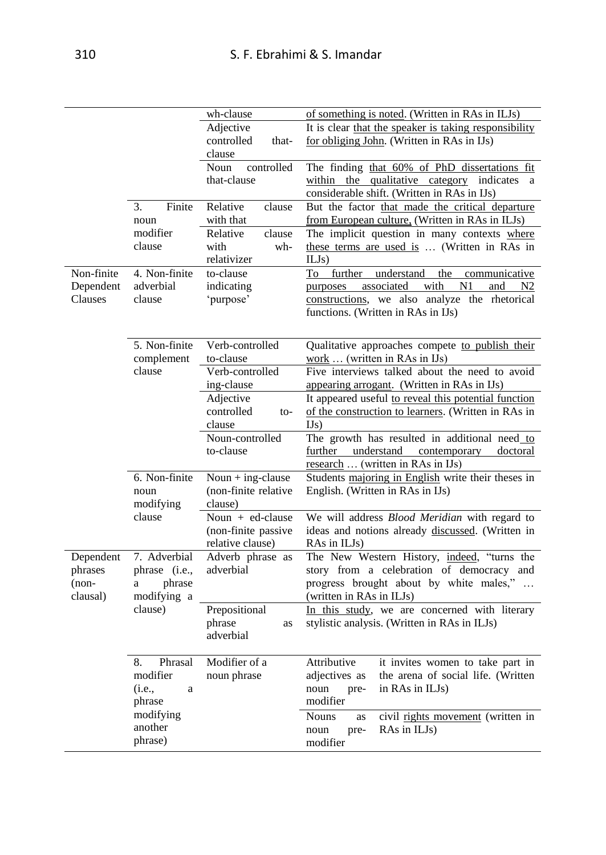|            |               | wh-clause            | of something is noted. (Written in RAs in ILJs)            |
|------------|---------------|----------------------|------------------------------------------------------------|
|            |               | Adjective            | It is clear that the speaker is taking responsibility      |
|            |               | controlled<br>that-  | for obliging John. (Written in RAs in IJs)                 |
|            |               | clause               |                                                            |
|            |               | Noun<br>controlled   | The finding that 60% of PhD dissertations fit              |
|            |               | that-clause          | within the qualitative category indicates<br>a             |
|            |               |                      | considerable shift. (Written in RAs in IJs)                |
|            | Finite<br>3.  | Relative<br>clause   | But the factor that made the critical departure            |
|            | noun          | with that            | from European culture. (Written in RAs in ILJs)            |
|            | modifier      | Relative<br>clause   | The implicit question in many contexts where               |
|            | clause        | with<br>wh-          | these terms are used is  (Written in RAs in                |
|            |               | relativizer          | ILJs)                                                      |
| Non-finite | 4. Non-finite | to-clause            | To<br>further<br>understand<br>the<br>communicative        |
| Dependent  | adverbial     | indicating           | with<br>purposes associated<br>N1<br>and<br>N <sub>2</sub> |
| Clauses    | clause        | 'purpose'            | constructions, we also analyze the rhetorical              |
|            |               |                      | functions. (Written in RAs in IJs)                         |
|            |               |                      |                                                            |
|            | 5. Non-finite | Verb-controlled      | Qualitative approaches compete to publish their            |
|            | complement    | to-clause            | work  (written in RAs in IJs)                              |
|            | clause        | Verb-controlled      | Five interviews talked about the need to avoid             |
|            |               | ing-clause           | appearing arrogant. (Written in RAs in IJs)                |
|            |               | Adjective            | It appeared useful to reveal this potential function       |
|            |               | controlled<br>to-    | of the construction to learners. (Written in RAs in        |
|            |               | clause               | IJs)                                                       |
|            |               | Noun-controlled      | The growth has resulted in additional need_to              |
|            |               | to-clause            | further<br>understand<br>contemporary<br>doctoral          |
|            |               |                      | research  (written in RAs in IJs)                          |
|            | 6. Non-finite | Noun $+$ ing-clause  | Students majoring in English write their theses in         |
|            | noun          | (non-finite relative | English. (Written in RAs in IJs)                           |
|            | modifying     | clause)              |                                                            |
|            | clause        | Noun $+$ ed-clause   | We will address Blood Meridian with regard to              |
|            |               | (non-finite passive  | ideas and notions already discussed. (Written in           |
|            |               | relative clause)     | RAs in ILJs)                                               |
| Dependent  | 7. Adverbial  | Adverb phrase as     | The New Western History, indeed, "turns the                |
| phrases    | phrase (i.e., | adverbial            | story from a celebration of democracy and                  |
| $(non-$    | phrase<br>a   |                      | progress brought about by white males,"                    |
| clausal)   | modifying a   |                      | (written in RAs in ILJs)                                   |
|            | clause)       | Prepositional        | In this study, we are concerned with literary              |
|            |               | phrase<br>as         | stylistic analysis. (Written in RAs in ILJs)               |
|            |               | adverbial            |                                                            |
|            |               |                      |                                                            |
|            | Phrasal<br>8. | Modifier of a        | Attributive<br>it invites women to take part in            |
|            | modifier      | noun phrase          | adjectives as<br>the arena of social life. (Written        |
|            | (i.e.,<br>a   |                      | noun<br>in RAs in ILJs)<br>pre-                            |
|            | phrase        |                      | modifier                                                   |
|            | modifying     |                      | <b>Nouns</b><br>civil rights movement (written in<br>as    |
|            | another       |                      | RAs in ILJs)<br>noun<br>pre-                               |
|            | phrase)       |                      | modifier                                                   |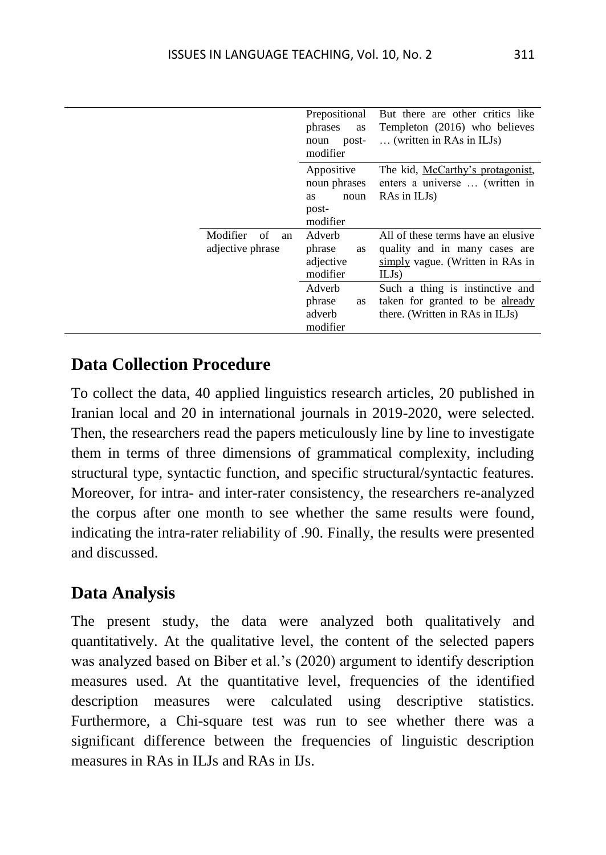|                                          | Prepositional<br>phrases<br><b>as</b><br>post-<br>noun<br>modifier | But there are other critics like<br>Templeton (2016) who believes<br>(written in RAs in ILJs)                    |
|------------------------------------------|--------------------------------------------------------------------|------------------------------------------------------------------------------------------------------------------|
|                                          | Appositive<br>noun phrases<br>noun<br>as<br>post-<br>modifier      | The kid, McCarthy's protagonist,<br>enters a universe  (written in<br>RAs in ILJ <sub>s</sub> )                  |
| Modifier<br>of<br>an<br>adjective phrase | Adverb<br>phrase<br><b>as</b><br>adjective<br>modifier             | All of these terms have an elusive<br>quality and in many cases are<br>simply vague. (Written in RAs in<br>ILJs) |
|                                          | Adverb<br>phrase<br>as<br>adverb<br>modifier                       | Such a thing is instinctive and<br>taken for granted to be already<br>there. (Written in RAs in ILJs)            |

### **Data Collection Procedure**

To collect the data, 40 applied linguistics research articles, 20 published in Iranian local and 20 in international journals in 2019-2020, were selected. Then, the researchers read the papers meticulously line by line to investigate them in terms of three dimensions of grammatical complexity, including structural type, syntactic function, and specific structural/syntactic features. Moreover, for intra- and inter-rater consistency, the researchers re-analyzed the corpus after one month to see whether the same results were found, indicating the intra-rater reliability of .90. Finally, the results were presented and discussed.

# **Data Analysis**

The present study, the data were analyzed both qualitatively and quantitatively. At the qualitative level, the content of the selected papers was analyzed based on Biber et al.'s (2020) argument to identify description measures used. At the quantitative level, frequencies of the identified description measures were calculated using descriptive statistics. Furthermore, a Chi-square test was run to see whether there was a significant difference between the frequencies of linguistic description measures in RAs in ILJs and RAs in IJs.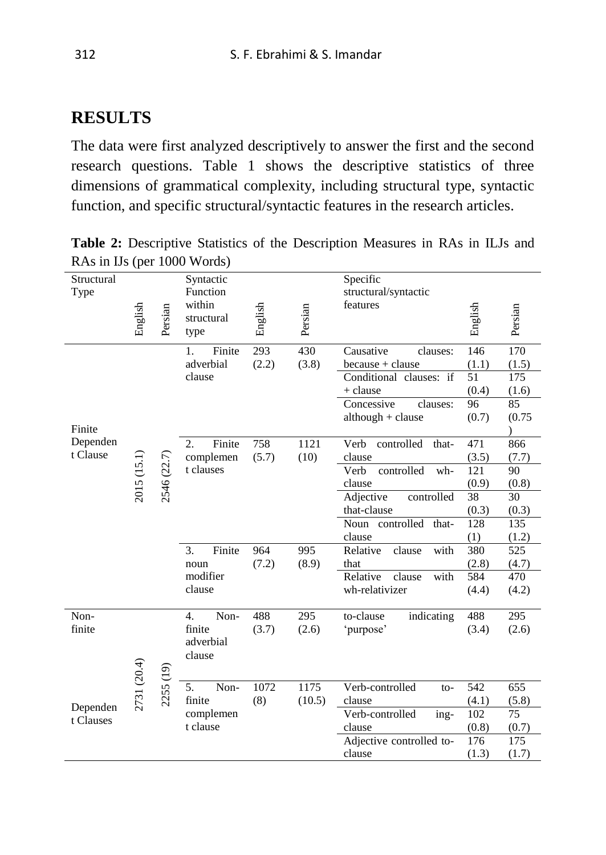## **RESULTS**

The data were first analyzed descriptively to answer the first and the second research questions. Table 1 shows the descriptive statistics of three dimensions of grammatical complexity, including structural type, syntactic function, and specific structural/syntactic features in the research articles.

**Table 2:** Descriptive Statistics of the Description Measures in RAs in ILJs and RAs in IJs (per 1000 Words)

| Structural<br>Type    |             |             | Specific<br>Syntactic<br>Function |         |         | structural/syntactic            |            |              |
|-----------------------|-------------|-------------|-----------------------------------|---------|---------|---------------------------------|------------|--------------|
|                       | English     | Persian     | within<br>structural<br>type      | English | Persian | features                        | English    | Persian      |
|                       |             |             | Finite<br>1.                      | 293     | 430     | Causative<br>clauses:           | 146        | 170          |
|                       |             |             | adverbial                         | (2.2)   | (3.8)   | because + clause                | (1.1)      | (1.5)        |
|                       |             |             | clause                            |         |         | Conditional clauses: if         | 51         | 175          |
|                       |             |             |                                   |         |         | + clause                        | (0.4)      | (1.6)        |
|                       |             |             |                                   |         |         | Concessive<br>clauses:          | 96         | 85           |
|                       |             |             |                                   |         |         | $although + clause$             | (0.7)      | (0.75)       |
| Finite                |             |             |                                   |         |         |                                 |            |              |
| Dependen              |             |             | Finite<br>2.                      | 758     | 1121    | Verb<br>controlled<br>that-     | 471        | 866          |
| t Clause              |             |             | complemen                         | (5.7)   | (10)    | clause                          | (3.5)      | (7.7)        |
|                       |             |             | t clauses                         |         |         | controlled<br>Verb<br>wh-       | 121        | 90           |
|                       | 2015 (15.1) | 2546 (22.7) |                                   |         |         | clause                          | (0.9)      | (0.8)        |
|                       |             |             |                                   |         |         | controlled<br>Adjective         | 38         | 30           |
|                       |             |             |                                   |         |         | that-clause                     | (0.3)      | (0.3)        |
|                       |             |             |                                   |         |         | Noun controlled that-<br>clause | 128<br>(1) | 135<br>(1.2) |
|                       |             |             | 3.<br>Finite                      | 964     | 995     | with<br>clause<br>Relative      | 380        | 525          |
|                       |             |             | noun                              | (7.2)   | (8.9)   | that                            | (2.8)      | (4.7)        |
|                       |             |             | modifier                          |         |         | Relative<br>clause<br>with      | 584        | 470          |
|                       |             |             | clause                            |         |         | wh-relativizer                  | (4.4)      | (4.2)        |
|                       |             |             |                                   |         |         |                                 |            |              |
| Non-                  |             |             | $\overline{4}$ .<br>Non-          | 488     | 295     | to-clause<br>indicating         | 488        | 295          |
| finite                |             |             | finite                            | (3.7)   | (2.6)   | 'purpose'                       | (3.4)      | (2.6)        |
|                       |             |             | adverbial                         |         |         |                                 |            |              |
|                       |             |             | clause                            |         |         |                                 |            |              |
|                       |             |             |                                   |         |         |                                 |            |              |
|                       |             |             | 5.<br>Non-                        | 1072    | 1175    | Verb-controlled<br>$to-$        | 542        | 655          |
|                       | 2731 (20.4) | 2255 (19)   | finite                            | (8)     | (10.5)  | clause                          | (4.1)      | (5.8)        |
| Dependen<br>t Clauses |             |             | complemen                         |         |         | Verb-controlled<br>ing-         | 102        | 75           |
|                       |             |             | t clause                          |         |         | clause                          | (0.8)      | (0.7)        |
|                       |             |             |                                   |         |         | Adjective controlled to-        | 176        | 175          |
|                       |             |             |                                   |         |         | clause                          | (1.3)      | (1.7)        |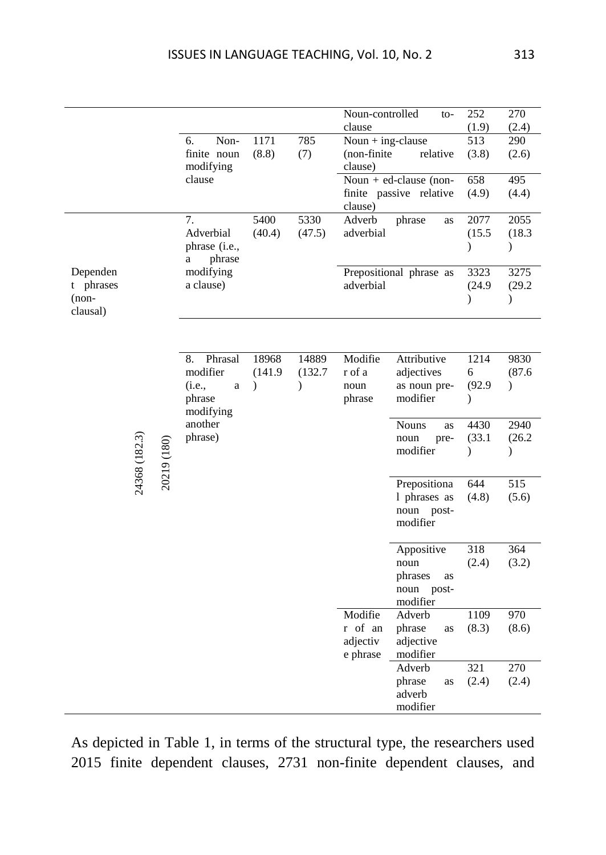|           |               |             |                      |               |         | Noun-controlled         | to-                        | 252              | 270           |
|-----------|---------------|-------------|----------------------|---------------|---------|-------------------------|----------------------------|------------------|---------------|
|           |               |             |                      |               |         | clause                  |                            | (1.9)            | (2.4)         |
|           |               |             | Non-<br>6.           | 1171          | 785     | Noun + ing-clause       |                            | 513              | 290           |
|           |               |             | finite noun          | (8.8)         | (7)     | (non-finite)            | relative                   | (3.8)            | (2.6)         |
|           |               |             | modifying            |               |         | clause)                 |                            |                  |               |
|           |               |             | clause               |               |         |                         | Noun + $ed$ -clause (non-  | 658              | 495           |
|           |               |             |                      |               |         |                         | finite passive relative    | (4.9)            | (4.4)         |
|           |               |             |                      |               |         | clause)                 |                            |                  |               |
|           |               |             | 7.                   | 5400          | 5330    | Adverb                  | phrase<br>as               | 2077             | 2055          |
|           |               |             | Adverbial            | (40.4)        | (47.5)  | adverbial               |                            | (15.5)           | (18.3)        |
|           |               |             | phrase (i.e.,        |               |         |                         |                            | $\mathcal{E}$    | $\mathcal{E}$ |
|           |               |             | phrase<br>a          |               |         |                         |                            |                  |               |
| Dependen  |               |             | modifying            |               |         | Prepositional phrase as |                            | 3323             | 3275          |
| t phrases |               |             | a clause)            |               |         | adverbial               |                            | (24.9)           | (29.2)        |
| $(non-$   |               |             |                      |               |         |                         |                            | $\mathcal{E}$    | $\mathcal{E}$ |
| clausal)  |               |             |                      |               |         |                         |                            |                  |               |
|           |               |             |                      |               |         |                         |                            |                  |               |
|           |               |             |                      |               |         |                         |                            |                  |               |
|           |               |             | Phrasal<br>8.        | 18968         | 14889   | Modifie                 | Attributive                | 1214             | 9830          |
|           |               |             | modifier             | (141.9)       | (132.7) | r of a                  | adjectives                 | 6                | (87.6)        |
|           |               |             | (i.e.,<br>a          | $\mathcal{E}$ | €       | noun                    | as noun pre-               | (92.9)           | $\mathcal{E}$ |
|           |               |             | phrase               |               |         | phrase                  | modifier                   | $\mathcal{E}$    |               |
|           |               |             | modifying<br>another |               |         |                         | <b>Nouns</b><br>as         | 4430             | 2940          |
|           |               |             | phrase)              |               |         |                         | noun<br>pre-               | (33.1)           | (26.2)        |
|           |               |             |                      |               |         |                         | modifier                   | $\mathcal{E}$    | $\mathcal{E}$ |
|           |               |             |                      |               |         |                         |                            |                  |               |
|           | 24368 (182.3) | 20219 (180) |                      |               |         |                         | Prepositiona               | $\overline{644}$ | 515           |
|           |               |             |                      |               |         |                         |                            |                  | (5.6)         |
|           |               |             |                      |               |         |                         | 1 phrases as<br>noun post- | (4.8)            |               |
|           |               |             |                      |               |         |                         | modifier                   |                  |               |
|           |               |             |                      |               |         |                         |                            |                  |               |
|           |               |             |                      |               |         |                         | Appositive                 | 318              | 364           |
|           |               |             |                      |               |         |                         | noun                       | (2.4)            | (3.2)         |
|           |               |             |                      |               |         |                         | phrases<br>as              |                  |               |
|           |               |             |                      |               |         |                         | noun<br>post-              |                  |               |
|           |               |             |                      |               |         |                         | modifier                   |                  |               |
|           |               |             |                      |               |         | Modifie                 | Adverb                     | 1109             | 970           |
|           |               |             |                      |               |         | r of an                 | phrase<br>as               | (8.3)            | (8.6)         |
|           |               |             |                      |               |         | adjectiv                | adjective                  |                  |               |
|           |               |             |                      |               |         | e phrase                | modifier                   |                  |               |
|           |               |             |                      |               |         |                         | Adverb                     | 321              | 270           |
|           |               |             |                      |               |         |                         | phrase<br>as               | (2.4)            | (2.4)         |
|           |               |             |                      |               |         |                         | adverb                     |                  |               |
|           |               |             |                      |               |         |                         | modifier                   |                  |               |

As depicted in Table 1, in terms of the structural type, the researchers used 2015 finite dependent clauses, 2731 non-finite dependent clauses, and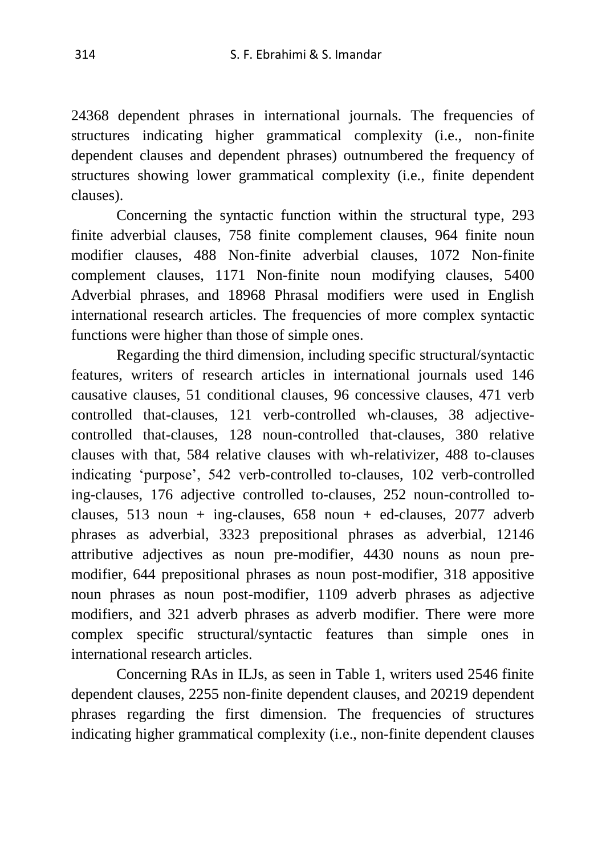24368 dependent phrases in international journals. The frequencies of structures indicating higher grammatical complexity (i.e., non-finite dependent clauses and dependent phrases) outnumbered the frequency of structures showing lower grammatical complexity (i.e., finite dependent clauses).

 Concerning the syntactic function within the structural type, 293 finite adverbial clauses, 758 finite complement clauses, 964 finite noun modifier clauses, 488 Non-finite adverbial clauses, 1072 Non-finite complement clauses, 1171 Non-finite noun modifying clauses, 5400 Adverbial phrases, and 18968 Phrasal modifiers were used in English international research articles. The frequencies of more complex syntactic functions were higher than those of simple ones.

 Regarding the third dimension, including specific structural/syntactic features, writers of research articles in international journals used 146 causative clauses, 51 conditional clauses, 96 concessive clauses, 471 verb controlled that-clauses, 121 verb-controlled wh-clauses, 38 adjectivecontrolled that-clauses, 128 noun-controlled that-clauses, 380 relative clauses with that, 584 relative clauses with wh-relativizer, 488 to-clauses indicating 'purpose', 542 verb-controlled to-clauses, 102 verb-controlled ing-clauses, 176 adjective controlled to-clauses, 252 noun-controlled toclauses, 513 noun + ing-clauses, 658 noun + ed-clauses, 2077 adverb phrases as adverbial, 3323 prepositional phrases as adverbial, 12146 attributive adjectives as noun pre-modifier, 4430 nouns as noun premodifier, 644 prepositional phrases as noun post-modifier, 318 appositive noun phrases as noun post-modifier, 1109 adverb phrases as adjective modifiers, and 321 adverb phrases as adverb modifier. There were more complex specific structural/syntactic features than simple ones in international research articles.

 Concerning RAs in ILJs, as seen in Table 1, writers used 2546 finite dependent clauses, 2255 non-finite dependent clauses, and 20219 dependent phrases regarding the first dimension. The frequencies of structures indicating higher grammatical complexity (i.e., non-finite dependent clauses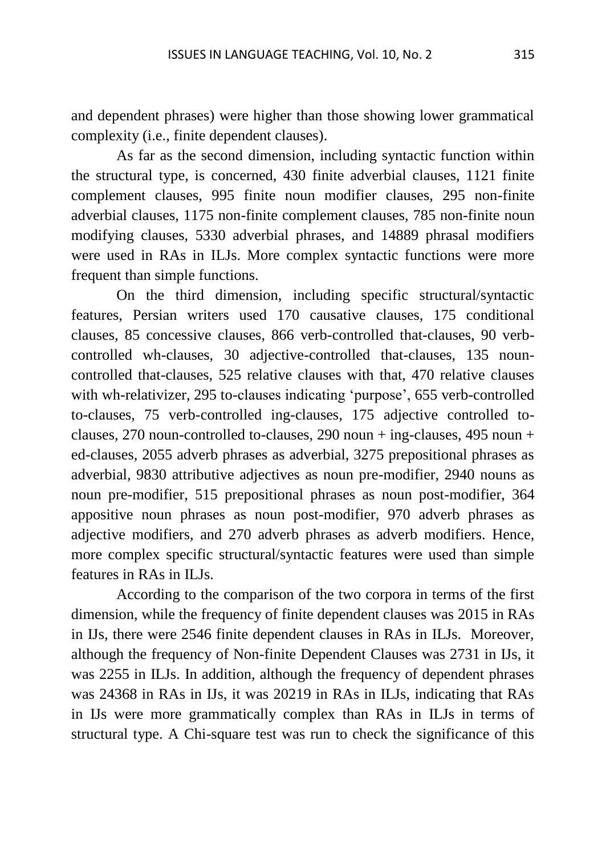and dependent phrases) were higher than those showing lower grammatical complexity (i.e., finite dependent clauses).

As far as the second dimension, including syntactic function within the structural type, is concerned, 430 finite adverbial clauses, 1121 finite complement clauses, 995 finite noun modifier clauses, 295 non-finite adverbial clauses, 1175 non-finite complement clauses, 785 non-finite noun modifying clauses, 5330 adverbial phrases, and 14889 phrasal modifiers were used in RAs in ILJs. More complex syntactic functions were more frequent than simple functions.

On the third dimension, including specific structural/syntactic features, Persian writers used 170 causative clauses, 175 conditional clauses, 85 concessive clauses, 866 verb-controlled that-clauses, 90 verbcontrolled wh-clauses, 30 adjective-controlled that-clauses, 135 nouncontrolled that-clauses, 525 relative clauses with that, 470 relative clauses with wh-relativizer, 295 to-clauses indicating 'purpose', 655 verb-controlled to-clauses, 75 verb-controlled ing-clauses, 175 adjective controlled toclauses, 270 noun-controlled to-clauses, 290 noun + ing-clauses, 495 noun + ed-clauses, 2055 adverb phrases as adverbial, 3275 prepositional phrases as adverbial, 9830 attributive adjectives as noun pre-modifier, 2940 nouns as noun pre-modifier, 515 prepositional phrases as noun post-modifier, 364 appositive noun phrases as noun post-modifier, 970 adverb phrases as adjective modifiers, and 270 adverb phrases as adverb modifiers. Hence, more complex specific structural/syntactic features were used than simple features in RAs in ILJs.

According to the comparison of the two corpora in terms of the first dimension, while the frequency of finite dependent clauses was 2015 in RAs in IJs, there were 2546 finite dependent clauses in RAs in ILJs. Moreover, although the frequency of Non-finite Dependent Clauses was 2731 in IJs, it was 2255 in ILJs. In addition, although the frequency of dependent phrases was 24368 in RAs in IJs, it was 20219 in RAs in ILJs, indicating that RAs in IJs were more grammatically complex than RAs in ILJs in terms of structural type. A Chi-square test was run to check the significance of this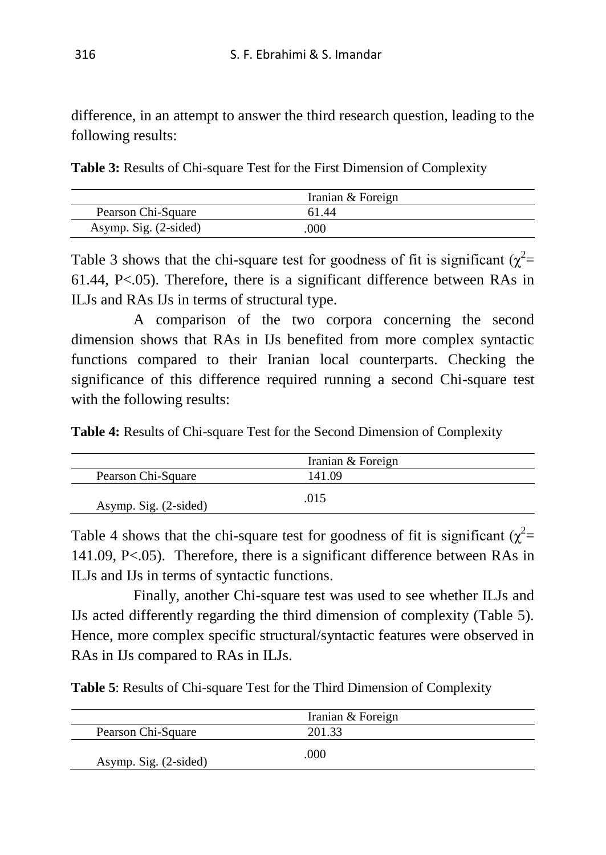difference, in an attempt to answer the third research question, leading to the following results:

**Table 3:** Results of Chi-square Test for the First Dimension of Complexity

|                       | Iranian & Foreign |
|-----------------------|-------------------|
| Pearson Chi-Square    | 61.44             |
| Asymp. Sig. (2-sided) | 000               |

Table 3 shows that the chi-square test for goodness of fit is significant  $(\chi^2 =$ 61.44, P<.05). Therefore, there is a significant difference between RAs in ILJs and RAs IJs in terms of structural type.

A comparison of the two corpora concerning the second dimension shows that RAs in IJs benefited from more complex syntactic functions compared to their Iranian local counterparts. Checking the significance of this difference required running a second Chi-square test with the following results:

**Table 4:** Results of Chi-square Test for the Second Dimension of Complexity

|                       | Iranian & Foreign |
|-----------------------|-------------------|
| Pearson Chi-Square    | 141.09            |
| Asymp. Sig. (2-sided) | .015              |

Table 4 shows that the chi-square test for goodness of fit is significant  $(\chi^2$ = 141.09, P<.05). Therefore, there is a significant difference between RAs in ILJs and IJs in terms of syntactic functions.

Finally, another Chi-square test was used to see whether ILJs and IJs acted differently regarding the third dimension of complexity (Table 5). Hence, more complex specific structural/syntactic features were observed in RAs in IJs compared to RAs in ILJs.

**Table 5**: Results of Chi-square Test for the Third Dimension of Complexity

|                       | Iranian & Foreign |  |
|-----------------------|-------------------|--|
| Pearson Chi-Square    | 201.33            |  |
| Asymp. Sig. (2-sided) | .000              |  |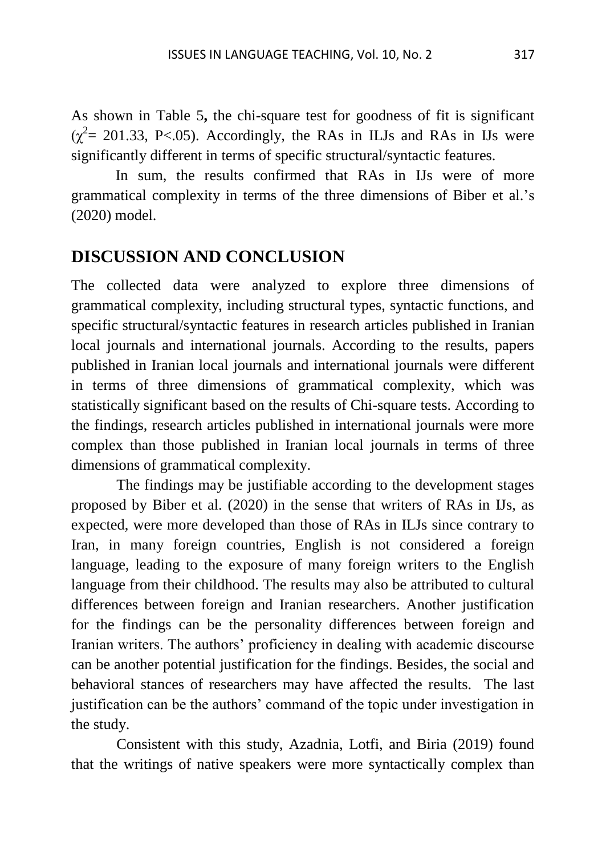As shown in Table 5**,** the chi-square test for goodness of fit is significant  $(\chi^2 = 201.33, \text{ P} < 0.05)$ . Accordingly, the RAs in ILJs and RAs in IJs were significantly different in terms of specific structural/syntactic features.

In sum, the results confirmed that RAs in IJs were of more grammatical complexity in terms of the three dimensions of Biber et al.'s (2020) model.

## **DISCUSSION AND CONCLUSION**

The collected data were analyzed to explore three dimensions of grammatical complexity, including structural types, syntactic functions, and specific structural/syntactic features in research articles published in Iranian local journals and international journals. According to the results, papers published in Iranian local journals and international journals were different in terms of three dimensions of grammatical complexity, which was statistically significant based on the results of Chi-square tests. According to the findings, research articles published in international journals were more complex than those published in Iranian local journals in terms of three dimensions of grammatical complexity.

The findings may be justifiable according to the development stages proposed by Biber et al. (2020) in the sense that writers of RAs in IJs, as expected, were more developed than those of RAs in ILJs since contrary to Iran, in many foreign countries, English is not considered a foreign language, leading to the exposure of many foreign writers to the English language from their childhood. The results may also be attributed to cultural differences between foreign and Iranian researchers. Another justification for the findings can be the personality differences between foreign and Iranian writers. The authors' proficiency in dealing with academic discourse can be another potential justification for the findings. Besides, the social and behavioral stances of researchers may have affected the results. The last justification can be the authors' command of the topic under investigation in the study.

Consistent with this study, Azadnia, Lotfi, and Biria (2019) found that the writings of native speakers were more syntactically complex than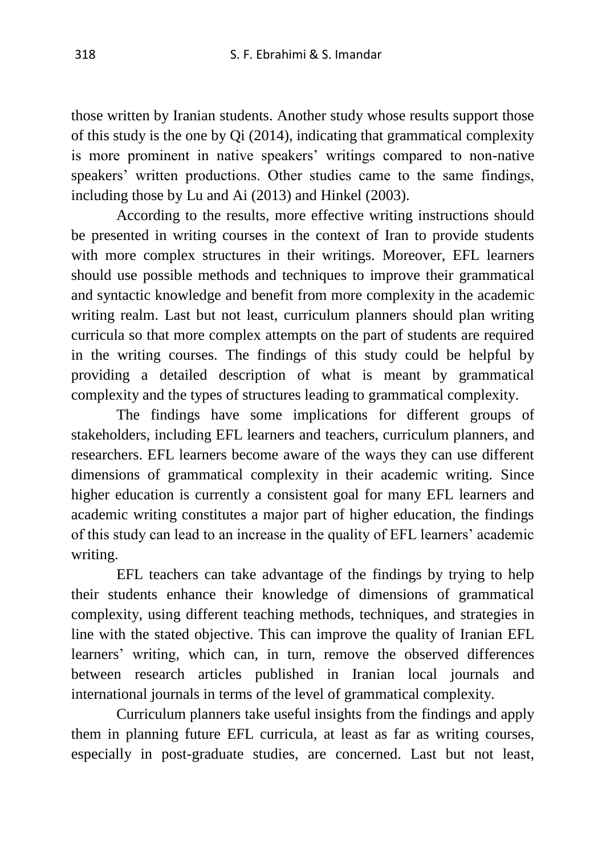those written by Iranian students. Another study whose results support those of this study is the one by Qi (2014), indicating that grammatical complexity is more prominent in native speakers' writings compared to non-native speakers' written productions. Other studies came to the same findings, including those by Lu and Ai (2013) and Hinkel (2003).

According to the results, more effective writing instructions should be presented in writing courses in the context of Iran to provide students with more complex structures in their writings. Moreover, EFL learners should use possible methods and techniques to improve their grammatical and syntactic knowledge and benefit from more complexity in the academic writing realm. Last but not least, curriculum planners should plan writing curricula so that more complex attempts on the part of students are required in the writing courses. The findings of this study could be helpful by providing a detailed description of what is meant by grammatical complexity and the types of structures leading to grammatical complexity.

The findings have some implications for different groups of stakeholders, including EFL learners and teachers, curriculum planners, and researchers. EFL learners become aware of the ways they can use different dimensions of grammatical complexity in their academic writing. Since higher education is currently a consistent goal for many EFL learners and academic writing constitutes a major part of higher education, the findings of this study can lead to an increase in the quality of EFL learners' academic writing.

EFL teachers can take advantage of the findings by trying to help their students enhance their knowledge of dimensions of grammatical complexity, using different teaching methods, techniques, and strategies in line with the stated objective. This can improve the quality of Iranian EFL learners' writing, which can, in turn, remove the observed differences between research articles published in Iranian local journals and international journals in terms of the level of grammatical complexity.

Curriculum planners take useful insights from the findings and apply them in planning future EFL curricula, at least as far as writing courses, especially in post-graduate studies, are concerned. Last but not least,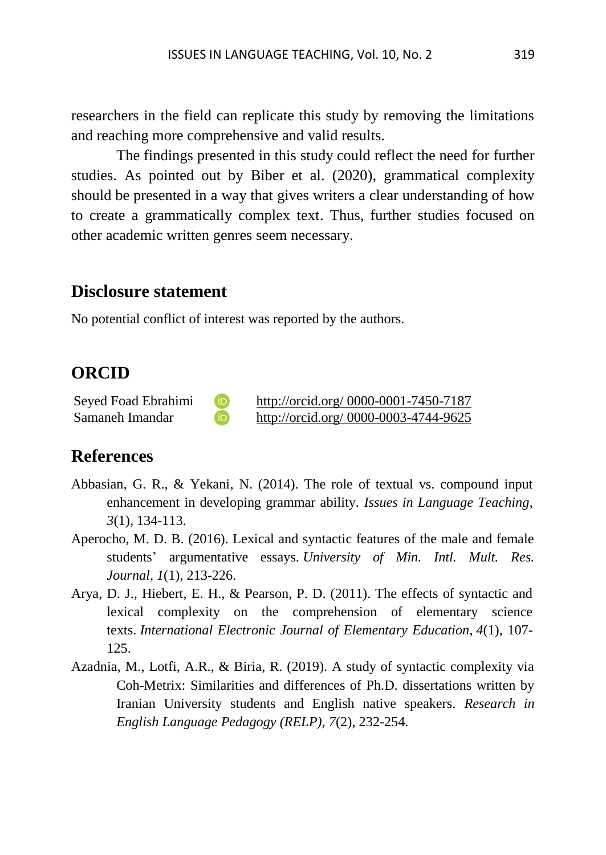researchers in the field can replicate this study by removing the limitations and reaching more comprehensive and valid results.

The findings presented in this study could reflect the need for further studies. As pointed out by Biber et al. (2020), grammatical complexity should be presented in a way that gives writers a clear understanding of how to create a grammatically complex text. Thus, further studies focused on other academic written genres seem necessary.

### **Disclosure statement**

No potential conflict of interest was reported by the authors.

## **ORCID**

| Seyed Foad Ebrahimi |  |
|---------------------|--|
| Samaneh Imandar     |  |

[http://orcid.org/ 0000-0001-7450-7187](http://orcid.org/%200000-0001-7450-7187) [http://orcid.org/ 0000-0003-4744-9625](http://orcid.org/%200000-0003-4744-9625)

## **References**

- Abbasian, G. R., & Yekani, N. (2014). The role of textual vs. compound input enhancement in developing grammar ability. *Issues in Language Teaching*, *3*(1), 134-113.
- Aperocho, M. D. B. (2016). Lexical and syntactic features of the male and female students' argumentative essays. *University of Min. Intl. Mult. Res. Journal*, *1*(1), 213-226.
- Arya, D. J., Hiebert, E. H., & Pearson, P. D. (2011). The effects of syntactic and lexical complexity on the comprehension of elementary science texts. *International Electronic Journal of Elementary Education*, *4*(1), 107- 125.
- Azadnia, M., Lotfi, A.R., & Biria, R. (2019). A study of syntactic complexity via Coh-Metrix: Similarities and differences of Ph.D. dissertations written by Iranian University students and English native speakers. *Research in English Language Pedagogy (RELP), 7*(2), 232-254.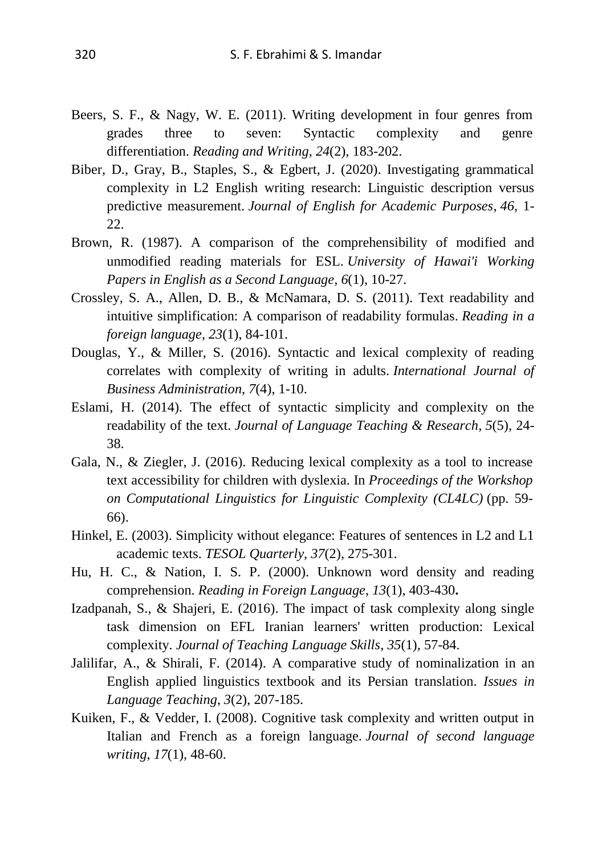- Beers, S. F., & Nagy, W. E. (2011). Writing development in four genres from grades three to seven: Syntactic complexity and genre differentiation. *Reading and Writing*, *24*(2), 183-202.
- Biber, D., Gray, B., Staples, S., & Egbert, J. (2020). Investigating grammatical complexity in L2 English writing research: Linguistic description versus predictive measurement. *Journal of English for Academic Purposes*, *46*, 1- 22.
- Brown, R. (1987). A comparison of the comprehensibility of modified and unmodified reading materials for ESL. *University of Hawai'i Working Papers in English as a Second Language, 6*(1), 10-27.
- Crossley, S. A., Allen, D. B., & McNamara, D. S. (2011). Text readability and intuitive simplification: A comparison of readability formulas. *Reading in a foreign language*, *23*(1), 84-101.
- Douglas, Y., & Miller, S. (2016). Syntactic and lexical complexity of reading correlates with complexity of writing in adults. *International Journal of Business Administration*, *7*(4), 1-10.
- Eslami, H. (2014). The effect of syntactic simplicity and complexity on the readability of the text. *Journal of Language Teaching & Research*, *5*(5), 24- 38.
- Gala, N., & Ziegler, J. (2016). Reducing lexical complexity as a tool to increase text accessibility for children with dyslexia. In *Proceedings of the Workshop on Computational Linguistics for Linguistic Complexity (CL4LC)* (pp. 59- 66).
- Hinkel, E. (2003). Simplicity without elegance: Features of sentences in L2 and L1 academic texts. *TESOL Quarterly, 37*(2), 275-301.
- Hu, H. C., & Nation, I. S. P. (2000). Unknown word density and reading comprehension. *Reading in Foreign Language, 13*(1), 403-430**.**
- Izadpanah, S., & Shajeri, E. (2016). The impact of task complexity along single task dimension on EFL Iranian learners' written production: Lexical complexity. *Journal of Teaching Language Skills*, *35*(1), 57-84.
- Jalilifar, A., & Shirali, F. (2014). A comparative study of nominalization in an English applied linguistics textbook and its Persian translation. *Issues in Language Teaching*, *3*(2), 207-185.
- Kuiken, F., & Vedder, I. (2008). Cognitive task complexity and written output in Italian and French as a foreign language. *Journal of second language writing*, *17*(1), 48-60.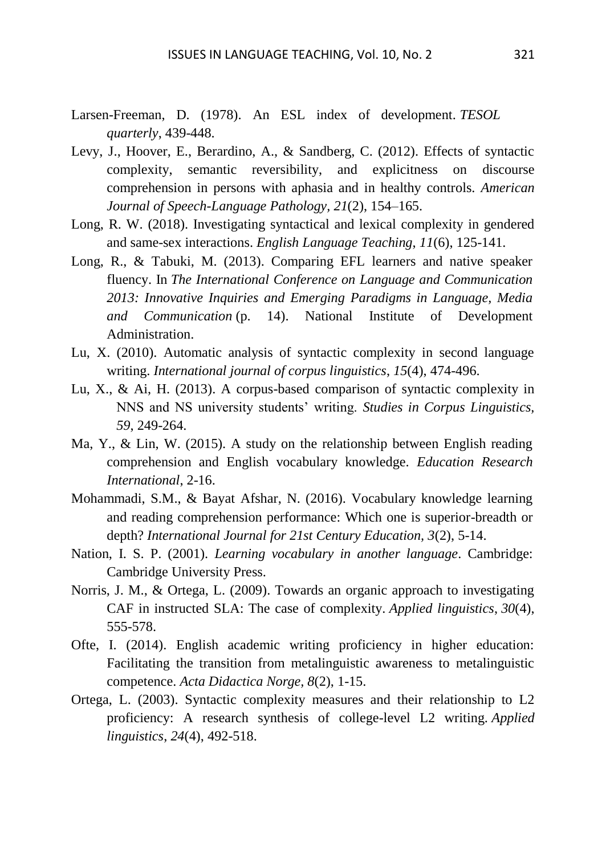- Larsen-Freeman, D. (1978). An ESL index of development. *TESOL quarterly*, 439-448.
- Levy, J., Hoover, E., Berardino, A., & Sandberg, C. (2012). Effects of syntactic complexity, semantic reversibility, and explicitness on discourse comprehension in persons with aphasia and in healthy controls. *American Journal of Speech-Language Pathology, 21*(2), 154–165.
- Long, R. W. (2018). Investigating syntactical and lexical complexity in gendered and same-sex interactions. *English Language Teaching*, *11*(6), 125-141.
- Long, R., & Tabuki, M. (2013). Comparing EFL learners and native speaker fluency. In *The International Conference on Language and Communication 2013: Innovative Inquiries and Emerging Paradigms in Language, Media and Communication* (p. 14). National Institute of Development Administration.
- Lu, X. (2010). Automatic analysis of syntactic complexity in second language writing. *International journal of corpus linguistics*, *15*(4), 474-496.
- Lu, X., & Ai, H. (2013). A corpus-based comparison of syntactic complexity in NNS and NS university students' writing. *Studies in Corpus Linguistics, 59*, 249-264.
- Ma, Y., & Lin, W. (2015). A study on the relationship between English reading comprehension and English vocabulary knowledge. *Education Research International*, 2-16.
- Mohammadi, S.M., & Bayat Afshar, N. (2016). Vocabulary knowledge learning and reading comprehension performance: Which one is superior-breadth or depth? *International Journal for 21st Century Education, 3*(2), 5-14.
- Nation, I. S. P. (2001). *Learning vocabulary in another language*. Cambridge: Cambridge University Press.
- Norris, J. M., & Ortega, L. (2009). Towards an organic approach to investigating CAF in instructed SLA: The case of complexity. *Applied linguistics*, *30*(4), 555-578.
- Ofte, I. (2014). English academic writing proficiency in higher education: Facilitating the transition from metalinguistic awareness to metalinguistic competence. *Acta Didactica Norge, 8*(2), 1-15.
- Ortega, L. (2003). Syntactic complexity measures and their relationship to L2 proficiency: A research synthesis of college-level L2 writing. *Applied linguistics*, *24*(4), 492-518.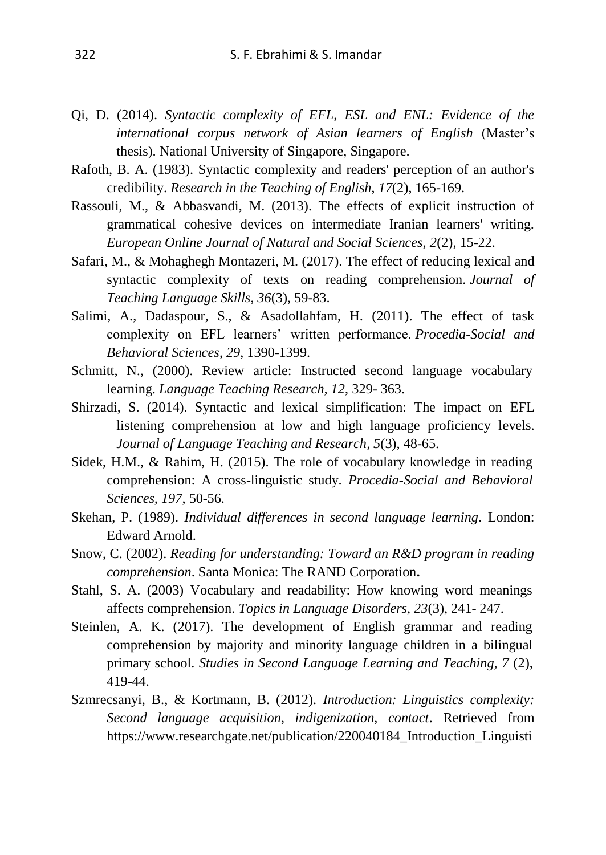- Qi, D. (2014). *Syntactic complexity of EFL, ESL and ENL: Evidence of the international corpus network of Asian learners of English* (Master's thesis). National University of Singapore, Singapore.
- Rafoth, B. A. (1983). Syntactic complexity and readers' perception of an author's credibility. *Research in the Teaching of English*, *17*(2), 165-169.
- Rassouli, M., & Abbasvandi, M. (2013). The effects of explicit instruction of grammatical cohesive devices on intermediate Iranian learners' writing. *European Online Journal of Natural and Social Sciences, 2*(2), 15-22.
- Safari, M., & Mohaghegh Montazeri, M. (2017). The effect of reducing lexical and syntactic complexity of texts on reading comprehension. *Journal of Teaching Language Skills*, *36*(3), 59-83.
- Salimi, A., Dadaspour, S., & Asadollahfam, H. (2011). The effect of task complexity on EFL learners' written performance. *Procedia-Social and Behavioral Sciences*, *29*, 1390-1399.
- Schmitt, N., (2000). Review article: Instructed second language vocabulary learning. *Language Teaching Research, 12*, 329- 363.
- Shirzadi, S. (2014). Syntactic and lexical simplification: The impact on EFL listening comprehension at low and high language proficiency levels. *[Journal of Language Teaching and Research,](https://www.researchgate.net/journal/Journal-of-Language-Teaching-and-Research-1798-4769) 5*(3), 48-65.
- Sidek, H.M., & Rahim, H. (2015). The role of vocabulary knowledge in reading comprehension: A cross-linguistic study. *Procedia-Social and Behavioral Sciences, 197*, 50-56.
- Skehan, P. (1989). *Individual differences in second language learning*. London: Edward Arnold.
- Snow, C. (2002). *Reading for understanding: Toward an R&D program in reading comprehension*. Santa Monica: The RAND Corporation**.**
- Stahl, S. A. (2003) Vocabulary and readability: How knowing word meanings affects comprehension. *Topics in Language Disorders, 23*(3), 241- 247.
- Steinlen, A. K. (2017). The development of English grammar and reading comprehension by majority and minority language children in a bilingual primary school. *Studies in Second Language Learning and Teaching, 7* (2), 419-44.
- Szmrecsanyi, B., & Kortmann, B. (2012). *Introduction: Linguistics complexity: Second language acquisition, indigenization, contact*. Retrieved from https://www.researchgate.net/publication/220040184\_Introduction\_Linguisti